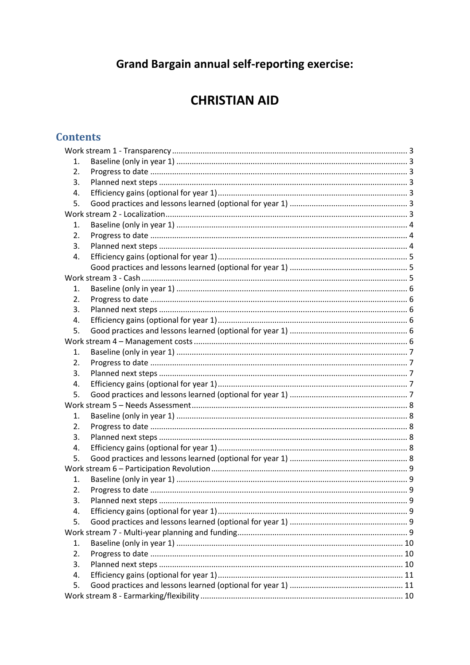# **Grand Bargain annual self-reporting exercise:**

# **CHRISTIAN AID**

# **Contents**

| 1. |  |  |  |  |
|----|--|--|--|--|
| 2. |  |  |  |  |
| 3. |  |  |  |  |
| 4. |  |  |  |  |
| 5. |  |  |  |  |
|    |  |  |  |  |
| 1. |  |  |  |  |
| 2. |  |  |  |  |
| 3. |  |  |  |  |
| 4. |  |  |  |  |
|    |  |  |  |  |
|    |  |  |  |  |
| 1. |  |  |  |  |
| 2. |  |  |  |  |
| 3. |  |  |  |  |
| 4. |  |  |  |  |
| 5. |  |  |  |  |
|    |  |  |  |  |
| 1. |  |  |  |  |
| 2. |  |  |  |  |
| 3. |  |  |  |  |
| 4. |  |  |  |  |
| 5. |  |  |  |  |
|    |  |  |  |  |
| 1. |  |  |  |  |
| 2. |  |  |  |  |
| 3. |  |  |  |  |
| 4. |  |  |  |  |
| 5. |  |  |  |  |
|    |  |  |  |  |
| 1. |  |  |  |  |
| 2. |  |  |  |  |
| 3. |  |  |  |  |
| 4. |  |  |  |  |
| 5. |  |  |  |  |
|    |  |  |  |  |
| 1. |  |  |  |  |
| 2. |  |  |  |  |
| 3. |  |  |  |  |
| 4. |  |  |  |  |
| 5. |  |  |  |  |
|    |  |  |  |  |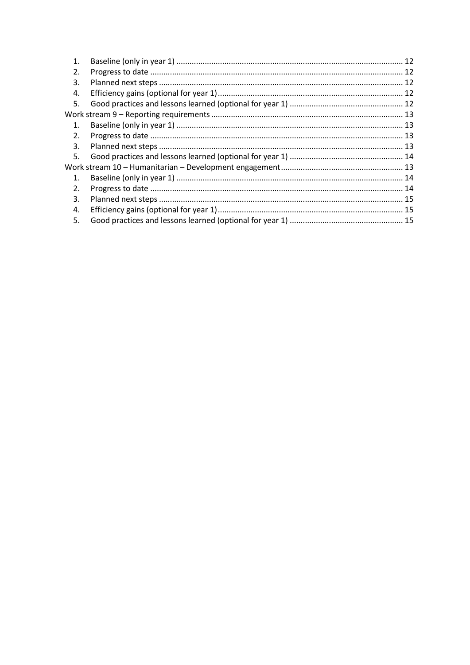| 1.             |  |
|----------------|--|
| 2.             |  |
| 3.             |  |
| 4.             |  |
| 5.             |  |
|                |  |
| 1.             |  |
| 2.             |  |
| 3.             |  |
| 5.             |  |
|                |  |
| $\mathbf{1}$ . |  |
| 2.             |  |
| 3.             |  |
| 4.             |  |
| 5.             |  |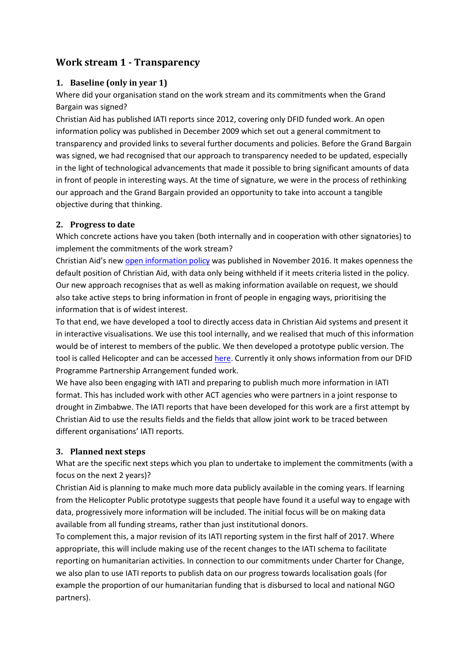# <span id="page-2-0"></span>**Work stream 1 - Transparency**

## <span id="page-2-1"></span>**1. Baseline (only in year 1)**

Where did your organisation stand on the work stream and its commitments when the Grand Bargain was signed?

Christian Aid has published IATI reports since 2012, covering only DFID funded work. An open information policy was published in December 2009 which set out a general commitment to transparency and provided links to several further documents and policies. Before the Grand Bargain was signed, we had recognised that our approach to transparency needed to be updated, especially in the light of technological advancements that made it possible to bring significant amounts of data in front of people in interesting ways. At the time of signature, we were in the process of rethinking our approach and the Grand Bargain provided an opportunity to take into account a tangible objective during that thinking.

### <span id="page-2-2"></span>**2. Progress to date**

Which concrete actions have you taken (both internally and in cooperation with other signatories) to implement the commitments of the work stream?

Christian Aid's new [open information policy](http://www.christianaid.org.uk/programme-policy-practice/about-us/accountability-transparency/open-information-policy) was published in November 2016. It makes openness the default position of Christian Aid, with data only being withheld if it meets criteria listed in the policy. Our new approach recognises that as well as making information available on request, we should also take active steps to bring information in front of people in engaging ways, prioritising the information that is of widest interest.

To that end, we have developed a tool to directly access data in Christian Aid systems and present it in interactive visualisations. We use this tool internally, and we realised that much of this information would be of interest to members of the public. We then developed a prototype public version. The tool is called Helicopter and can be accessed [here.](http://helicopter.christianaid.org.uk/) Currently it only shows information from our DFID Programme Partnership Arrangement funded work.

We have also been engaging with IATI and preparing to publish much more information in IATI format. This has included work with other ACT agencies who were partners in a joint response to drought in Zimbabwe. The IATI reports that have been developed for this work are a first attempt by Christian Aid to use the results fields and the fields that allow joint work to be traced between different organisations' IATI reports.

#### <span id="page-2-3"></span>**3. Planned next steps**

What are the specific next steps which you plan to undertake to implement the commitments (with a focus on the next 2 years)?

Christian Aid is planning to make much more data publicly available in the coming years. If learning from the Helicopter Public prototype suggests that people have found it a useful way to engage with data, progressively more information will be included. The initial focus will be on making data available from all funding streams, rather than just institutional donors.

To complement this, a major revision of its IATI reporting system in the first half of 2017. Where appropriate, this will include making use of the recent changes to the IATI schema to facilitate reporting on humanitarian activities. In connection to our commitments under Charter for Change, we also plan to use IATI reports to publish data on our progress towards localisation goals (for example the proportion of our humanitarian funding that is disbursed to local and national NGO partners).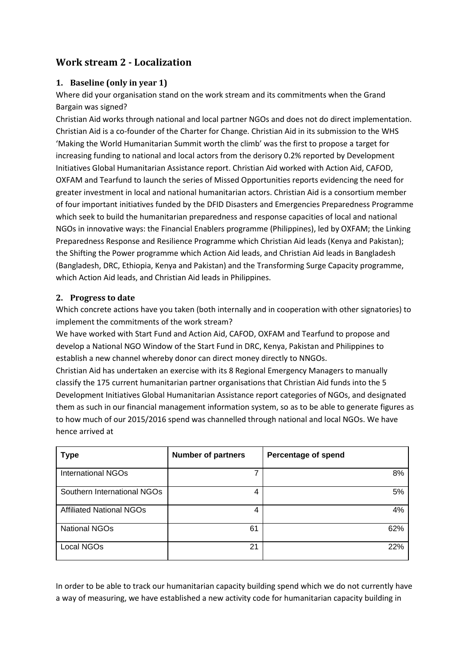# **Work stream 2 - Localization**

## <span id="page-3-0"></span>**1. Baseline (only in year 1)**

Where did your organisation stand on the work stream and its commitments when the Grand Bargain was signed?

Christian Aid works through national and local partner NGOs and does not do direct implementation. Christian Aid is a co-founder of the Charter for Change. Christian Aid in its submission to the WHS 'Making the World Humanitarian Summit worth the climb' was the first to propose a target for increasing funding to national and local actors from the derisory 0.2% reported by Development Initiatives Global Humanitarian Assistance report. Christian Aid worked with Action Aid, CAFOD, OXFAM and Tearfund to launch the series of Missed Opportunities reports evidencing the need for greater investment in local and national humanitarian actors. Christian Aid is a consortium member of four important initiatives funded by the DFID Disasters and Emergencies Preparedness Programme which seek to build the humanitarian preparedness and response capacities of local and national NGOs in innovative ways: the Financial Enablers programme (Philippines), led by OXFAM; the Linking Preparedness Response and Resilience Programme which Christian Aid leads (Kenya and Pakistan); the Shifting the Power programme which Action Aid leads, and Christian Aid leads in Bangladesh (Bangladesh, DRC, Ethiopia, Kenya and Pakistan) and the Transforming Surge Capacity programme, which Action Aid leads, and Christian Aid leads in Philippines.

#### <span id="page-3-1"></span>**2. Progress to date**

Which concrete actions have you taken (both internally and in cooperation with other signatories) to implement the commitments of the work stream?

We have worked with Start Fund and Action Aid, CAFOD, OXFAM and Tearfund to propose and develop a National NGO Window of the Start Fund in DRC, Kenya, Pakistan and Philippines to establish a new channel whereby donor can direct money directly to NNGOs.

Christian Aid has undertaken an exercise with its 8 Regional Emergency Managers to manually classify the 175 current humanitarian partner organisations that Christian Aid funds into the 5 Development Initiatives Global Humanitarian Assistance report categories of NGOs, and designated them as such in our financial management information system, so as to be able to generate figures as to how much of our 2015/2016 spend was channelled through national and local NGOs. We have hence arrived at

| <b>Type</b>                     | <b>Number of partners</b> | <b>Percentage of spend</b> |
|---------------------------------|---------------------------|----------------------------|
| <b>International NGOs</b>       |                           | 8%                         |
| Southern International NGOs     | 4                         | 5%                         |
| <b>Affiliated National NGOs</b> | 4                         | 4%                         |
| <b>National NGOs</b>            | 61                        | 62%                        |
| Local NGOs                      | 21                        | 22%                        |

In order to be able to track our humanitarian capacity building spend which we do not currently have a way of measuring, we have established a new activity code for humanitarian capacity building in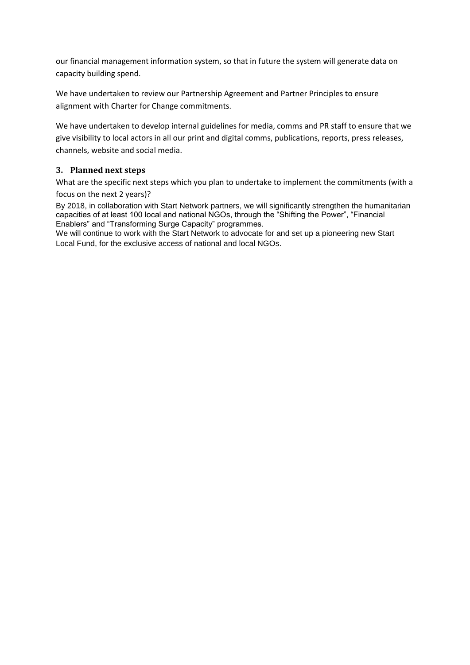our financial management information system, so that in future the system will generate data on capacity building spend.

We have undertaken to review our Partnership Agreement and Partner Principles to ensure alignment with Charter for Change commitments.

We have undertaken to develop internal guidelines for media, comms and PR staff to ensure that we give visibility to local actors in all our print and digital comms, publications, reports, press releases, channels, website and social media.

## <span id="page-4-0"></span>**3. Planned next steps**

What are the specific next steps which you plan to undertake to implement the commitments (with a

#### focus on the next 2 years)?

By 2018, in collaboration with Start Network partners, we will significantly strengthen the humanitarian capacities of at least 100 local and national NGOs, through the "Shifting the Power", "Financial Enablers" and "Transforming Surge Capacity" programmes.

We will continue to work with the Start Network to advocate for and set up a pioneering new Start Local Fund, for the exclusive access of national and local NGOs.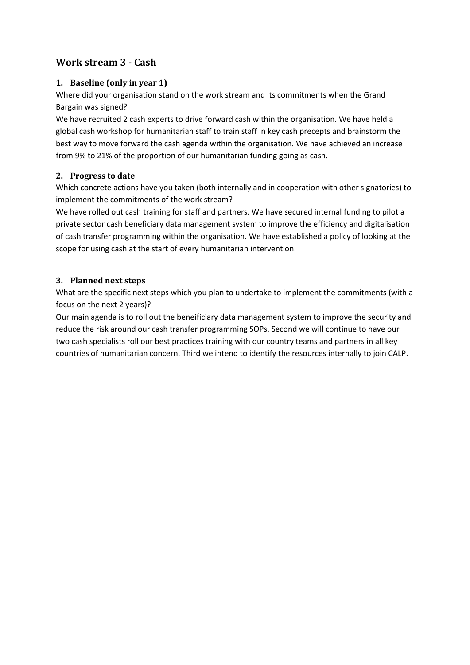# <span id="page-5-0"></span>**Work stream 3 - Cash**

## <span id="page-5-1"></span>**1. Baseline (only in year 1)**

Where did your organisation stand on the work stream and its commitments when the Grand Bargain was signed?

We have recruited 2 cash experts to drive forward cash within the organisation. We have held a global cash workshop for humanitarian staff to train staff in key cash precepts and brainstorm the best way to move forward the cash agenda within the organisation. We have achieved an increase from 9% to 21% of the proportion of our humanitarian funding going as cash.

## <span id="page-5-2"></span>**2. Progress to date**

Which concrete actions have you taken (both internally and in cooperation with other signatories) to implement the commitments of the work stream?

We have rolled out cash training for staff and partners. We have secured internal funding to pilot a private sector cash beneficiary data management system to improve the efficiency and digitalisation of cash transfer programming within the organisation. We have established a policy of looking at the scope for using cash at the start of every humanitarian intervention.

## <span id="page-5-3"></span>**3. Planned next steps**

What are the specific next steps which you plan to undertake to implement the commitments (with a focus on the next 2 years)?

Our main agenda is to roll out the beneificiary data management system to improve the security and reduce the risk around our cash transfer programming SOPs. Second we will continue to have our two cash specialists roll our best practices training with our country teams and partners in all key countries of humanitarian concern. Third we intend to identify the resources internally to join CALP.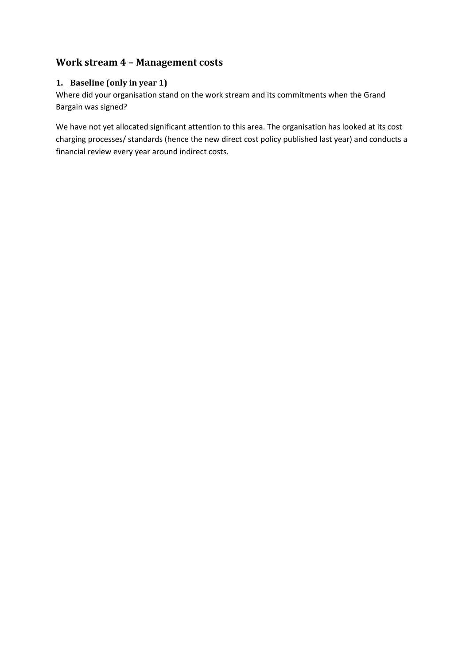# **Work stream 4 – Management costs**

## <span id="page-6-0"></span>**1. Baseline (only in year 1)**

Where did your organisation stand on the work stream and its commitments when the Grand Bargain was signed?

We have not yet allocated significant attention to this area. The organisation has looked at its cost charging processes/ standards (hence the new direct cost policy published last year) and conducts a financial review every year around indirect costs.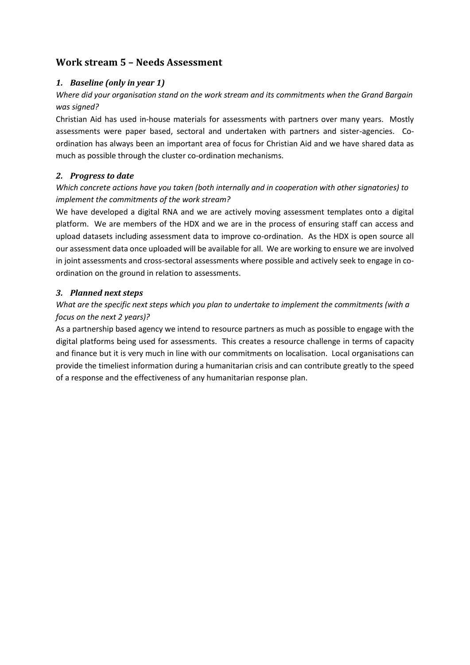## <span id="page-7-0"></span>**Work stream 5 – Needs Assessment**

## <span id="page-7-1"></span>*1. Baseline (only in year 1)*

## *Where did your organisation stand on the work stream and its commitments when the Grand Bargain was signed?*

Christian Aid has used in-house materials for assessments with partners over many years. Mostly assessments were paper based, sectoral and undertaken with partners and sister-agencies. Coordination has always been an important area of focus for Christian Aid and we have shared data as much as possible through the cluster co-ordination mechanisms.

### <span id="page-7-2"></span>*2. Progress to date*

## *Which concrete actions have you taken (both internally and in cooperation with other signatories) to implement the commitments of the work stream?*

We have developed a digital RNA and we are actively moving assessment templates onto a digital platform. We are members of the HDX and we are in the process of ensuring staff can access and upload datasets including assessment data to improve co-ordination. As the HDX is open source all our assessment data once uploaded will be available for all. We are working to ensure we are involved in joint assessments and cross-sectoral assessments where possible and actively seek to engage in coordination on the ground in relation to assessments.

### <span id="page-7-3"></span>*3. Planned next steps*

## *What are the specific next steps which you plan to undertake to implement the commitments (with a focus on the next 2 years)?*

As a partnership based agency we intend to resource partners as much as possible to engage with the digital platforms being used for assessments. This creates a resource challenge in terms of capacity and finance but it is very much in line with our commitments on localisation. Local organisations can provide the timeliest information during a humanitarian crisis and can contribute greatly to the speed of a response and the effectiveness of any humanitarian response plan.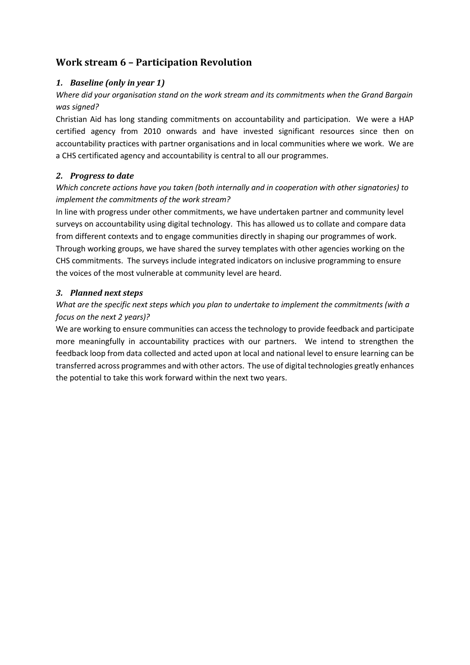# <span id="page-8-0"></span>**Work stream 6 – Participation Revolution**

## <span id="page-8-1"></span>*1. Baseline (only in year 1)*

*Where did your organisation stand on the work stream and its commitments when the Grand Bargain was signed?*

Christian Aid has long standing commitments on accountability and participation. We were a HAP certified agency from 2010 onwards and have invested significant resources since then on accountability practices with partner organisations and in local communities where we work. We are a CHS certificated agency and accountability is central to all our programmes.

#### <span id="page-8-2"></span>*2. Progress to date*

*Which concrete actions have you taken (both internally and in cooperation with other signatories) to implement the commitments of the work stream?* 

In line with progress under other commitments, we have undertaken partner and community level surveys on accountability using digital technology. This has allowed us to collate and compare data from different contexts and to engage communities directly in shaping our programmes of work. Through working groups, we have shared the survey templates with other agencies working on the CHS commitments. The surveys include integrated indicators on inclusive programming to ensure the voices of the most vulnerable at community level are heard.

#### <span id="page-8-3"></span>*3. Planned next steps*

## *What are the specific next steps which you plan to undertake to implement the commitments (with a focus on the next 2 years)?*

We are working to ensure communities can access the technology to provide feedback and participate more meaningfully in accountability practices with our partners. We intend to strengthen the feedback loop from data collected and acted upon at local and national level to ensure learning can be transferred across programmes and with other actors. The use of digital technologies greatly enhances the potential to take this work forward within the next two years.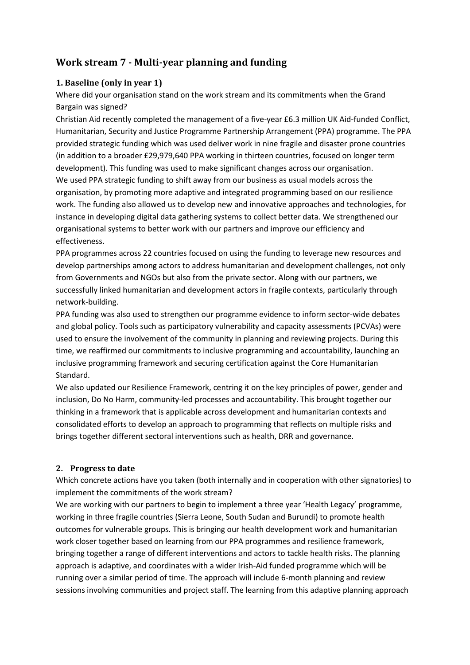# <span id="page-9-2"></span>**Work stream 7 - Multi-year planning and funding**

## <span id="page-9-0"></span>**1. Baseline (only in year 1)**

Where did your organisation stand on the work stream and its commitments when the Grand Bargain was signed?

Christian Aid recently completed the management of a five-year £6.3 million UK Aid-funded Conflict, Humanitarian, Security and Justice Programme Partnership Arrangement (PPA) programme. The PPA provided strategic funding which was used deliver work in nine fragile and disaster prone countries (in addition to a broader £29,979,640 PPA working in thirteen countries, focused on longer term development). This funding was used to make significant changes across our organisation. We used PPA strategic funding to shift away from our business as usual models across the organisation, by promoting more adaptive and integrated programming based on our resilience work. The funding also allowed us to develop new and innovative approaches and technologies, for instance in developing digital data gathering systems to collect better data. We strengthened our organisational systems to better work with our partners and improve our efficiency and effectiveness.

PPA programmes across 22 countries focused on using the funding to leverage new resources and develop partnerships among actors to address humanitarian and development challenges, not only from Governments and NGOs but also from the private sector. Along with our partners, we successfully linked humanitarian and development actors in fragile contexts, particularly through network-building.

PPA funding was also used to strengthen our programme evidence to inform sector-wide debates and global policy. Tools such as participatory vulnerability and capacity assessments (PCVAs) were used to ensure the involvement of the community in planning and reviewing projects. During this time, we reaffirmed our commitments to inclusive programming and accountability, launching an inclusive programming framework and securing certification against the Core Humanitarian Standard.

We also updated our Resilience Framework, centring it on the key principles of power, gender and inclusion, Do No Harm, community-led processes and accountability. This brought together our thinking in a framework that is applicable across development and humanitarian contexts and consolidated efforts to develop an approach to programming that reflects on multiple risks and brings together different sectoral interventions such as health, DRR and governance.

#### <span id="page-9-1"></span>**2. Progress to date**

Which concrete actions have you taken (both internally and in cooperation with other signatories) to implement the commitments of the work stream?

We are working with our partners to begin to implement a three year 'Health Legacy' programme, working in three fragile countries (Sierra Leone, South Sudan and Burundi) to promote health outcomes for vulnerable groups. This is bringing our health development work and humanitarian work closer together based on learning from our PPA programmes and resilience framework, bringing together a range of different interventions and actors to tackle health risks. The planning approach is adaptive, and coordinates with a wider Irish-Aid funded programme which will be running over a similar period of time. The approach will include 6-month planning and review sessions involving communities and project staff. The learning from this adaptive planning approach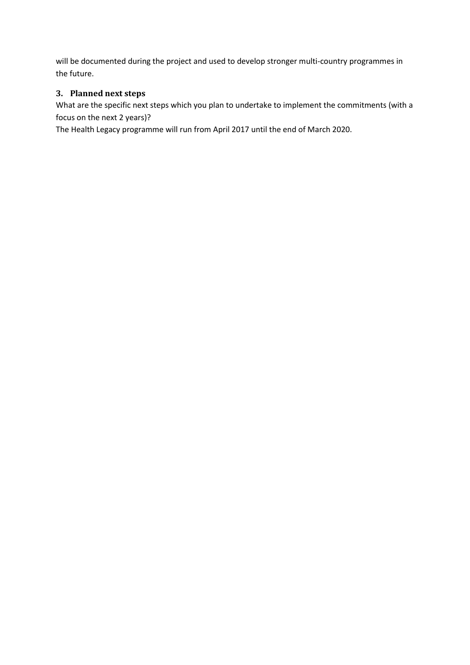will be documented during the project and used to develop stronger multi-country programmes in the future.

## <span id="page-10-0"></span>**3. Planned next steps**

What are the specific next steps which you plan to undertake to implement the commitments (with a focus on the next 2 years)?

The Health Legacy programme will run from April 2017 until the end of March 2020.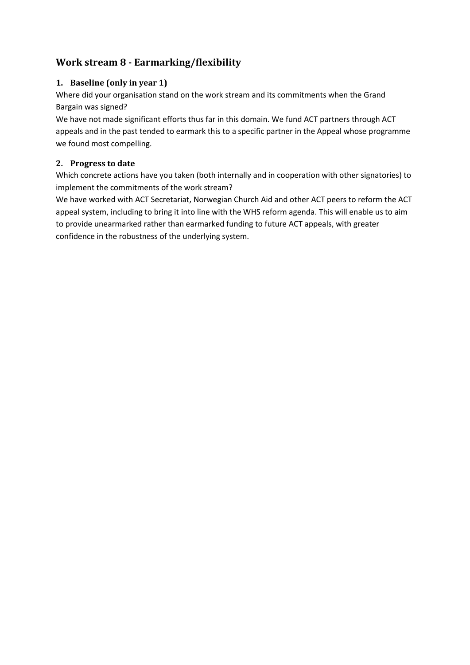# **Work stream 8 - Earmarking/flexibility**

## <span id="page-11-0"></span>**1. Baseline (only in year 1)**

Where did your organisation stand on the work stream and its commitments when the Grand Bargain was signed?

We have not made significant efforts thus far in this domain. We fund ACT partners through ACT appeals and in the past tended to earmark this to a specific partner in the Appeal whose programme we found most compelling.

## <span id="page-11-1"></span>**2. Progress to date**

Which concrete actions have you taken (both internally and in cooperation with other signatories) to implement the commitments of the work stream?

We have worked with ACT Secretariat, Norwegian Church Aid and other ACT peers to reform the ACT appeal system, including to bring it into line with the WHS reform agenda. This will enable us to aim to provide unearmarked rather than earmarked funding to future ACT appeals, with greater confidence in the robustness of the underlying system.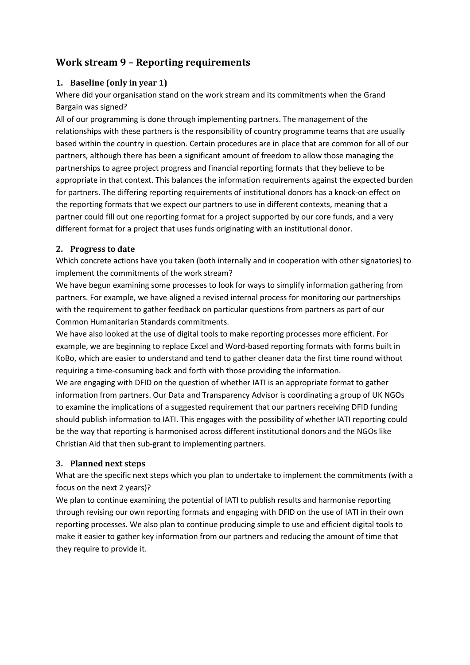# <span id="page-12-0"></span>**Work stream 9 – Reporting requirements**

## <span id="page-12-1"></span>**1. Baseline (only in year 1)**

Where did your organisation stand on the work stream and its commitments when the Grand Bargain was signed?

All of our programming is done through implementing partners. The management of the relationships with these partners is the responsibility of country programme teams that are usually based within the country in question. Certain procedures are in place that are common for all of our partners, although there has been a significant amount of freedom to allow those managing the partnerships to agree project progress and financial reporting formats that they believe to be appropriate in that context. This balances the information requirements against the expected burden for partners. The differing reporting requirements of institutional donors has a knock-on effect on the reporting formats that we expect our partners to use in different contexts, meaning that a partner could fill out one reporting format for a project supported by our core funds, and a very different format for a project that uses funds originating with an institutional donor.

#### <span id="page-12-2"></span>**2. Progress to date**

Which concrete actions have you taken (both internally and in cooperation with other signatories) to implement the commitments of the work stream?

We have begun examining some processes to look for ways to simplify information gathering from partners. For example, we have aligned a revised internal process for monitoring our partnerships with the requirement to gather feedback on particular questions from partners as part of our Common Humanitarian Standards commitments.

We have also looked at the use of digital tools to make reporting processes more efficient. For example, we are beginning to replace Excel and Word-based reporting formats with forms built in KoBo, which are easier to understand and tend to gather cleaner data the first time round without requiring a time-consuming back and forth with those providing the information.

We are engaging with DFID on the question of whether IATI is an appropriate format to gather information from partners. Our Data and Transparency Advisor is coordinating a group of UK NGOs to examine the implications of a suggested requirement that our partners receiving DFID funding should publish information to IATI. This engages with the possibility of whether IATI reporting could be the way that reporting is harmonised across different institutional donors and the NGOs like Christian Aid that then sub-grant to implementing partners.

## <span id="page-12-3"></span>**3. Planned next steps**

What are the specific next steps which you plan to undertake to implement the commitments (with a focus on the next 2 years)?

We plan to continue examining the potential of IATI to publish results and harmonise reporting through revising our own reporting formats and engaging with DFID on the use of IATI in their own reporting processes. We also plan to continue producing simple to use and efficient digital tools to make it easier to gather key information from our partners and reducing the amount of time that they require to provide it.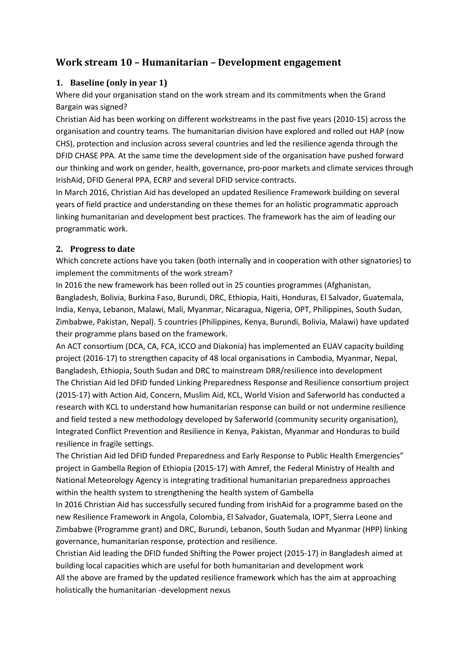## **Work stream 10 – Humanitarian – Development engagement**

## <span id="page-13-0"></span>**1. Baseline (only in year 1)**

Where did your organisation stand on the work stream and its commitments when the Grand Bargain was signed?

Christian Aid has been working on different workstreams in the past five years (2010-15) across the organisation and country teams. The humanitarian division have explored and rolled out HAP (now CHS), protection and inclusion across several countries and led the resilience agenda through the DFID CHASE PPA. At the same time the development side of the organisation have pushed forward our thinking and work on gender, health, governance, pro-poor markets and climate services through IrishAid, DFID General PPA, ECRP and several DFID service contracts.

In March 2016, Christian Aid has developed an updated Resilience Framework building on several years of field practice and understanding on these themes for an holistic programmatic approach linking humanitarian and development best practices. The framework has the aim of leading our programmatic work.

### <span id="page-13-1"></span>**2. Progress to date**

Which concrete actions have you taken (both internally and in cooperation with other signatories) to implement the commitments of the work stream?

In 2016 the new framework has been rolled out in 25 counties programmes (Afghanistan, Bangladesh, Bolivia, Burkina Faso, Burundi, DRC, Ethiopia, Haiti, Honduras, El Salvador, Guatemala, India, Kenya, Lebanon, Malawi, Mali, Myanmar, Nicaragua, Nigeria, OPT, Philippines, South Sudan, Zimbabwe, Pakistan, Nepal). 5 countries (Philippines, Kenya, Burundi, Bolivia, Malawi) have updated their programme plans based on the framework.

An ACT consortium (DCA, CA, FCA, ICCO and Diakonia) has implemented an EUAV capacity building project (2016-17) to strengthen capacity of 48 local organisations in Cambodia, Myanmar, Nepal, Bangladesh, Ethiopia, South Sudan and DRC to mainstream DRR/resilience into development The Christian Aid led DFID funded Linking Preparedness Response and Resilience consortium project (2015-17) with Action Aid, Concern, Muslim Aid, KCL, World Vision and Saferworld has conducted a research with KCL to understand how humanitarian response can build or not undermine resilience and field tested a new methodology developed by Saferworld (community security organisation), Integrated Conflict Prevention and Resilience in Kenya, Pakistan, Myanmar and Honduras to build resilience in fragile settings.

The Christian Aid led DFID funded Preparedness and Early Response to Public Health Emergencies" project in Gambella Region of Ethiopia (2015-17) with Amref, the Federal Ministry of Health and National Meteorology Agency is integrating traditional humanitarian preparedness approaches within the health system to strengthening the health system of Gambella

In 2016 Christian Aid has successfully secured funding from IrishAid for a programme based on the new Resilience Framework in Angola, Colombia, El Salvador, Guatemala, IOPT, Sierra Leone and Zimbabwe (Programme grant) and DRC, Burundi, Lebanon, South Sudan and Myanmar (HPP) linking governance, humanitarian response, protection and resilience.

Christian Aid leading the DFID funded Shifting the Power project (2015-17) in Bangladesh aimed at building local capacities which are useful for both humanitarian and development work

All the above are framed by the updated resilience framework which has the aim at approaching holistically the humanitarian -development nexus